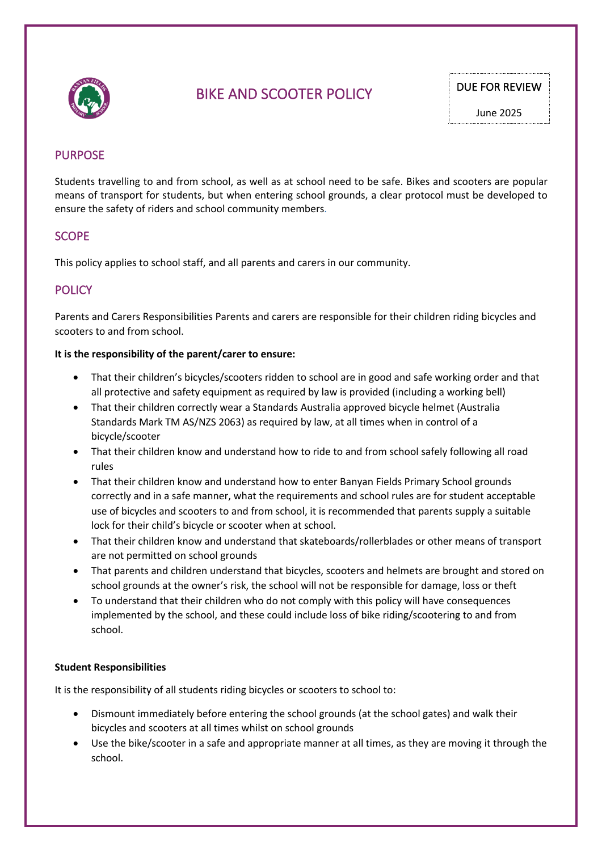

# BIKE AND SCOOTER POLICY DUE FOR REVIEW

June 2025

# PURPOSE

Students travelling to and from school, as well as at school need to be safe. Bikes and scooters are popular means of transport for students, but when entering school grounds, a clear protocol must be developed to ensure the safety of riders and school community members.

## SCOPE

This policy applies to school staff, and all parents and carers in our community.

# **POLICY**

Parents and Carers Responsibilities Parents and carers are responsible for their children riding bicycles and scooters to and from school.

#### **It is the responsibility of the parent/carer to ensure:**

- That their children's bicycles/scooters ridden to school are in good and safe working order and that all protective and safety equipment as required by law is provided (including a working bell)
- That their children correctly wear a Standards Australia approved bicycle helmet (Australia Standards Mark TM AS/NZS 2063) as required by law, at all times when in control of a bicycle/scooter
- That their children know and understand how to ride to and from school safely following all road rules
- That their children know and understand how to enter Banyan Fields Primary School grounds correctly and in a safe manner, what the requirements and school rules are for student acceptable use of bicycles and scooters to and from school, it is recommended that parents supply a suitable lock for their child's bicycle or scooter when at school.
- That their children know and understand that skateboards/rollerblades or other means of transport are not permitted on school grounds
- That parents and children understand that bicycles, scooters and helmets are brought and stored on school grounds at the owner's risk, the school will not be responsible for damage, loss or theft
- To understand that their children who do not comply with this policy will have consequences implemented by the school, and these could include loss of bike riding/scootering to and from school.

#### **Student Responsibilities**

It is the responsibility of all students riding bicycles or scooters to school to:

- Dismount immediately before entering the school grounds (at the school gates) and walk their bicycles and scooters at all times whilst on school grounds
- Use the bike/scooter in a safe and appropriate manner at all times, as they are moving it through the school.